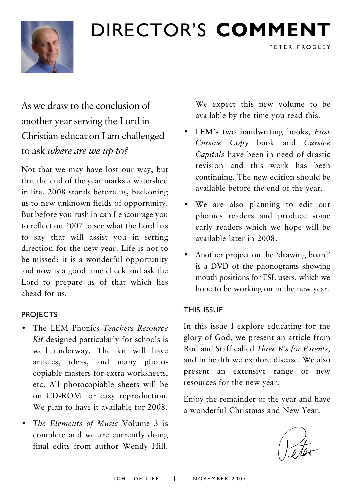# DIRECTOR'S **COMMENT**



## As we draw to the conclusion of another year serving the Lord in Christian education I am challenged to ask *where are we up to?*

Not that we may have lost our way, but that the end of the year marks a watershed in life. 2008 stands before us, beckoning us to new unknown fields of opportunity. But before you rush in can I encourage you to reflect on 2007 to see what the Lord has to say that will assist you in setting direction for the new year. Life is not to be missed; it is a wonderful opportunity and now is a good time check and ask the Lord to prepare us of that which lies ahead for us.

#### **PROJECTS**

- The LEM Phonics *Teachers Resource Kit* designed particularly for schools is well underway. The kit will have articles, ideas, and many photocopiable masters for extra worksheets, etc. All photocopiable sheets will be on CD-ROM for easy reproduction. We plan to have it available for 2008.
- *The Elements of Music* Volume 3 is complete and we are currently doing final edits from author Wendy Hill.

We expect this new volume to be available by the time you read this.

PETER FROGLEY

- LEM's two handwriting books, *First Cursive Copy* book and *Cursive Capitals* have been in need of drastic revision and this work has been continuing. The new edition should be available before the end of the year.
- We are also planning to edit our phonics readers and produce some early readers which we hope will be available later in 2008.
- Another project on the 'drawing board' is a DVD of the phonograms showing mouth positions for ESL users, which we hope to be working on in the new year.

#### THIS ISSUE

In this issue I explore educating for the glory of God, we present an article from Rod and Staff called *Three R's for Parents*, and in health we explore disease. We also present an extensive range of new resources for the new year.

Enjoy the remainder of the year and have a wonderful Christmas and New Year.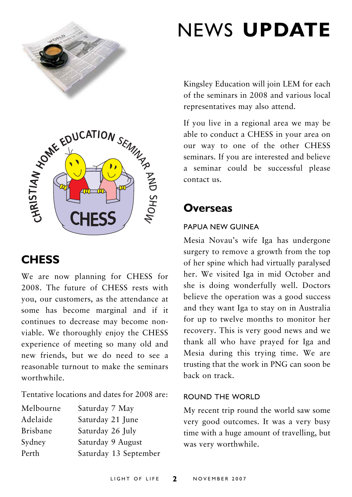



## **CHESS**

We are now planning for CHESS for 2008. The future of CHESS rests with you, our customers, as the attendance at some has become marginal and if it continues to decrease may become nonviable. We thoroughly enjoy the CHESS experience of meeting so many old and new friends, but we do need to see a reasonable turnout to make the seminars worthwhile.

Tentative locations and dates for 2008 are:

| Melbourne       | Saturday 7 May        |
|-----------------|-----------------------|
| Adelaide        | Saturday 21 June      |
| <b>Brisbane</b> | Saturday 26 July      |
| Sydney          | Saturday 9 August     |
| Perth           | Saturday 13 September |
|                 |                       |

# NEWS **UPDATE**

Kingsley Education will join LEM for each of the seminars in 2008 and various local representatives may also attend.

If you live in a regional area we may be able to conduct a CHESS in your area on our way to one of the other CHESS seminars. If you are interested and believe a seminar could be successful please contact us.

### **Overseas**

#### PAPUA NEW GUINEA

Mesia Novau's wife Iga has undergone surgery to remove a growth from the top of her spine which had virtually paralysed her. We visited Iga in mid October and she is doing wonderfully well. Doctors believe the operation was a good success and they want Iga to stay on in Australia for up to twelve months to monitor her recovery. This is very good news and we thank all who have prayed for Iga and Mesia during this trying time. We are trusting that the work in PNG can soon be back on track.

#### ROUND THE WORLD

My recent trip round the world saw some very good outcomes. It was a very busy time with a huge amount of travelling, but was very worthwhile.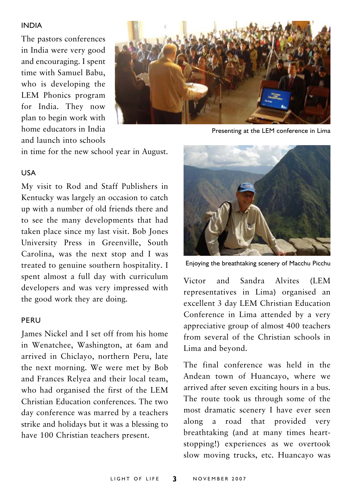#### INDIA

The pastors conferences in India were very good and encouraging. I spent time with Samuel Babu, who is developing the LEM Phonics program for India. They now plan to begin work with home educators in India and launch into schools



Presenting at the LEM conference in Lima

in time for the new school year in August.

#### USA

My visit to Rod and Staff Publishers in Kentucky was largely an occasion to catch up with a number of old friends there and to see the many developments that had taken place since my last visit. Bob Jones University Press in Greenville, South Carolina, was the next stop and I was treated to genuine southern hospitality. I spent almost a full day with curriculum developers and was very impressed with the good work they are doing.

#### PERU

James Nickel and I set off from his home in Wenatchee, Washington, at 6am and arrived in Chiclayo, northern Peru, late the next morning. We were met by Bob and Frances Relyea and their local team, who had organised the first of the LEM Christian Education conferences. The two day conference was marred by a teachers strike and holidays but it was a blessing to have 100 Christian teachers present.



Enjoying the breathtaking scenery of Macchu Picchu

Victor and Sandra Alvites (LEM representatives in Lima) organised an excellent 3 day LEM Christian Education Conference in Lima attended by a very appreciative group of almost 400 teachers from several of the Christian schools in Lima and beyond.

The final conference was held in the Andean town of Huancayo, where we arrived after seven exciting hours in a bus. The route took us through some of the most dramatic scenery I have ever seen along a road that provided very breathtaking (and at many times heartstopping!) experiences as we overtook slow moving trucks, etc. Huancayo was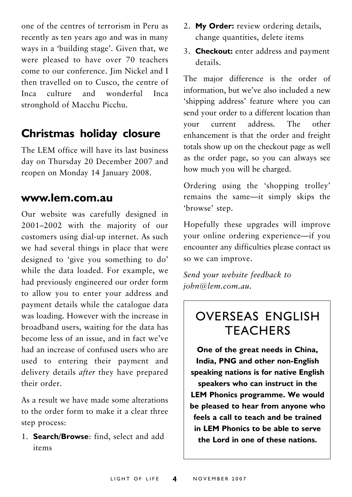one of the centres of terrorism in Peru as recently as ten years ago and was in many ways in a 'building stage'. Given that, we were pleased to have over 70 teachers come to our conference. Jim Nickel and I then travelled on to Cusco, the centre of Inca culture and wonderful Inca stronghold of Macchu Picchu.

### **Christmas holiday closure**

The LEM office will have its last business day on Thursday 20 December 2007 and reopen on Monday 14 January 2008.

### **www.lem.com.au**

Our website was carefully designed in 2001–2002 with the majority of our customers using dial-up internet. As such we had several things in place that were designed to 'give you something to do' while the data loaded. For example, we had previously engineered our order form to allow you to enter your address and payment details while the catalogue data was loading. However with the increase in broadband users, waiting for the data has become less of an issue, and in fact we've had an increase of confused users who are used to entering their payment and delivery details *after* they have prepared their order.

As a result we have made some alterations to the order form to make it a clear three step process:

1. **Search/Browse**: find, select and add items

- 2. **My Order:** review ordering details, change quantities, delete items
- 3. **Checkout:** enter address and payment details.

The major difference is the order of information, but we've also included a new 'shipping address' feature where you can send your order to a different location than your current address. The other enhancement is that the order and freight totals show up on the checkout page as well as the order page, so you can always see how much you will be charged.

Ordering using the 'shopping trolley' remains the same—it simply skips the 'browse' step.

Hopefully these upgrades will improve your online ordering experience—if you encounter any difficulties please contact us so we can improve.

*Send your website feedback to john@lem.com.au.*

## OVERSEAS ENGLISH **TFACHERS**

**One of the great needs in China, India, PNG and other non-English speaking nations is for native English speakers who can instruct in the LEM Phonics programme. We would be pleased to hear from anyone who feels a call to teach and be trained in LEM Phonics to be able to serve the Lord in one of these nations.**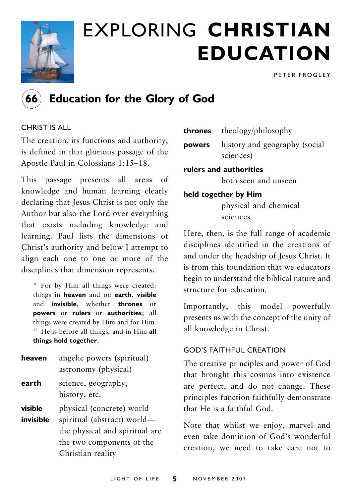

# EXPLORING **CHRISTIAN EDUCATION**

PETER FROGLEY



### **66 Education for the Glory of God**

#### CHRIST IS ALL

The creation, its functions and authority, is defined in that glorious passage of the Apostle Paul in Colossians 1:15–18.

This passage presents all areas of knowledge and human learning clearly declaring that Jesus Christ is not only the Author but also the Lord over everything that exists including knowledge and learning. Paul lists the dimensions of Christ's authority and below I attempt to align each one to one or more of the disciplines that dimension represents.

16 For by Him all things were created: things in **heaven** and on **earth**, **visible** and **invisible**, whether **thrones** or **powers** or **rulers** or **authorities**; all things were created by Him and for Him. 17 He is before all things, and in Him **all things hold together**.

| heaven | angelic powers (spiritual) |
|--------|----------------------------|
|        | astronomy (physical)       |

**earth** science, geography, history, etc.

**visible** physical (concrete) world

**invisible** spiritual (abstract) world the physical and spiritual are the two components of the Christian reality

| thrones                | theology/philosophy                        |  |
|------------------------|--------------------------------------------|--|
| powers                 | history and geography (social<br>sciences) |  |
| rulers and authorities |                                            |  |
|                        | both seen and unseen                       |  |
| held together by Him   |                                            |  |
|                        | physical and chemical                      |  |
|                        | sciences                                   |  |

Here, then, is the full range of academic disciplines identified in the creations of and under the headship of Jesus Christ. It is from this foundation that we educators begin to understand the biblical nature and structure for education.

Importantly, this model powerfully presents us with the concept of the unity of all knowledge in Christ.

#### GOD'S FAITHFUL CREATION

The creative principles and power of God that brought this cosmos into existence are perfect, and do not change. These principles function faithfully demonstrate that He is a faithful God.

Note that whilst we enjoy, marvel and even take dominion of God's wonderful creation, we need to take care not to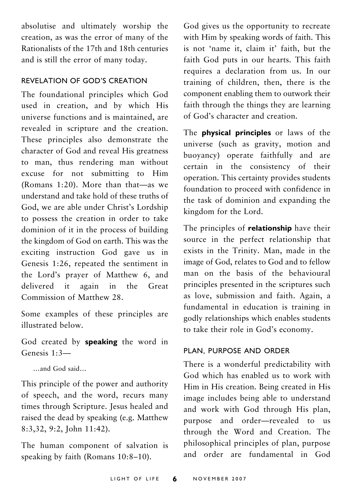absolutise and ultimately worship the creation, as was the error of many of the Rationalists of the 17th and 18th centuries and is still the error of many today.

#### REVELATION OF GOD'S CREATION

The foundational principles which God used in creation, and by which His universe functions and is maintained, are revealed in scripture and the creation. These principles also demonstrate the character of God and reveal His greatness to man, thus rendering man without excuse for not submitting to Him (Romans 1:20). More than that—as we understand and take hold of these truths of God, we are able under Christ's Lordship to possess the creation in order to take dominion of it in the process of building the kingdom of God on earth. This was the exciting instruction God gave us in Genesis 1:26, repeated the sentiment in the Lord's prayer of Matthew 6, and delivered it again in the Great Commission of Matthew 28.

Some examples of these principles are illustrated below.

God created by **speaking** the word in Genesis 1:3—

…and God said…

This principle of the power and authority of speech, and the word, recurs many times through Scripture. Jesus healed and raised the dead by speaking (e.g. Matthew 8:3,32, 9:2, John 11:42).

The human component of salvation is speaking by faith (Romans 10:8–10).

God gives us the opportunity to recreate with Him by speaking words of faith. This is not 'name it, claim it' faith, but the faith God puts in our hearts. This faith requires a declaration from us. In our training of children, then, there is the component enabling them to outwork their faith through the things they are learning of God's character and creation.

The **physical principles** or laws of the universe (such as gravity, motion and buoyancy) operate faithfully and are certain in the consistency of their operation. This certainty provides students foundation to proceed with confidence in the task of dominion and expanding the kingdom for the Lord.

The principles of **relationship** have their source in the perfect relationship that exists in the Trinity. Man, made in the image of God, relates to God and to fellow man on the basis of the behavioural principles presented in the scriptures such as love, submission and faith. Again, a fundamental in education is training in godly relationships which enables students to take their role in God's economy.

#### PLAN, PURPOSE AND ORDER

There is a wonderful predictability with God which has enabled us to work with Him in His creation. Being created in His image includes being able to understand and work with God through His plan, purpose and order—revealed to us through the Word and Creation. The philosophical principles of plan, purpose and order are fundamental in God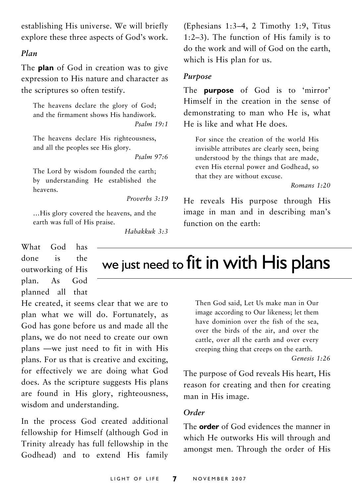establishing His universe. We will briefly explore these three aspects of God's work.

#### *Plan*

The **plan** of God in creation was to give expression to His nature and character as the scriptures so often testify.

The heavens declare the glory of God; and the firmament shows His handiwork. *Psalm 19:1*

The heavens declare His righteousness, and all the peoples see His glory.

*Psalm 97:6*

The Lord by wisdom founded the earth; by understanding He established the heavens.

*Proverbs 3:19*

…His glory covered the heavens, and the earth was full of His praise.

*Habakkuk 3:3*

(Ephesians 1:3–4, 2 Timothy 1:9, Titus 1:2–3). The function of His family is to do the work and will of God on the earth, which is His plan for us.

#### *Purpose*

The **purpose** of God is to 'mirror' Himself in the creation in the sense of demonstrating to man who He is, what He is like and what He does.

For since the creation of the world His invisible attributes are clearly seen, being understood by the things that are made, even His eternal power and Godhead, so that they are without excuse.

*Romans 1:20*

He reveals His purpose through His image in man and in describing man's function on the earth:

What God has done is the outworking of His plan. As God planned all that

He created, it seems clear that we are to plan what we will do. Fortunately, as God has gone before us and made all the plans, we do not need to create our own plans —we just need to fit in with His plans. For us that is creative and exciting, for effectively we are doing what God does. As the scripture suggests His plans are found in His glory, righteousness, wisdom and understanding.

In the process God created additional fellowship for Himself (although God in Trinity already has full fellowship in the Godhead) and to extend His family

we just need to fit in with His plans

Then God said, Let Us make man in Our image according to Our likeness; let them have dominion over the fish of the sea, over the birds of the air, and over the cattle, over all the earth and over every creeping thing that creeps on the earth.

*Genesis 1:26*

The purpose of God reveals His heart, His reason for creating and then for creating man in His image.

#### *Order*

The **order** of God evidences the manner in which He outworks His will through and amongst men. Through the order of His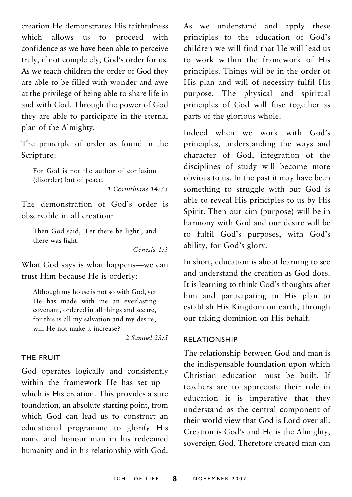creation He demonstrates His faithfulness which allows us to proceed with confidence as we have been able to perceive truly, if not completely, God's order for us. As we teach children the order of God they are able to be filled with wonder and awe at the privilege of being able to share life in and with God. Through the power of God they are able to participate in the eternal plan of the Almighty.

The principle of order as found in the Scripture:

For God is not the author of confusion (disorder) but of peace.

*1 Corinthians 14:33*

The demonstration of God's order is observable in all creation:

Then God said, 'Let there be light', and there was light.

*Genesis 1:3*

What God says is what happens—we can trust Him because He is orderly:

Although my house is not so with God, yet He has made with me an everlasting covenant, ordered in all things and secure, for this is all my salvation and my desire; will He not make it increase?

*2 Samuel 23:5*

#### THE FRUIT

God operates logically and consistently within the framework He has set up which is His creation. This provides a sure foundation, an absolute starting point, from which God can lead us to construct an educational programme to glorify His name and honour man in his redeemed humanity and in his relationship with God.

As we understand and apply these principles to the education of God's children we will find that He will lead us to work within the framework of His principles. Things will be in the order of His plan and will of necessity fulfil His purpose. The physical and spiritual principles of God will fuse together as parts of the glorious whole.

Indeed when we work with God's principles, understanding the ways and character of God, integration of the disciplines of study will become more obvious to us. In the past it may have been something to struggle with but God is able to reveal His principles to us by His Spirit. Then our aim (purpose) will be in harmony with God and our desire will be to fulfil God's purposes, with God's ability, for God's glory.

In short, education is about learning to see and understand the creation as God does. It is learning to think God's thoughts after him and participating in His plan to establish His Kingdom on earth, through our taking dominion on His behalf.

#### RELATIONSHIP

The relationship between God and man is the indispensable foundation upon which Christian education must be built. If teachers are to appreciate their role in education it is imperative that they understand as the central component of their world view that God is Lord over all. Creation is God's and He is the Almighty, sovereign God. Therefore created man can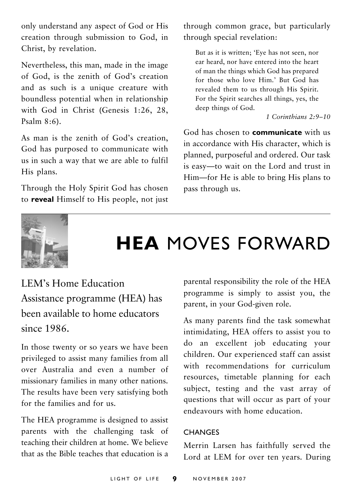only understand any aspect of God or His creation through submission to God, in Christ, by revelation.

Nevertheless, this man, made in the image of God, is the zenith of God's creation and as such is a unique creature with boundless potential when in relationship with God in Christ (Genesis 1:26, 28, Psalm  $8:6$ ).

As man is the zenith of God's creation, God has purposed to communicate with us in such a way that we are able to fulfil His plans.

Through the Holy Spirit God has chosen to **reveal** Himself to His people, not just through common grace, but particularly through special revelation:

But as it is written; 'Eye has not seen, nor ear heard, nor have entered into the heart of man the things which God has prepared for those who love Him.' But God has revealed them to us through His Spirit. For the Spirit searches all things, yes, the deep things of God.

*1 Corinthians 2:9–10*

God has chosen to **communicate** with us in accordance with His character, which is planned, purposeful and ordered. Our task is easy—to wait on the Lord and trust in Him—for He is able to bring His plans to pass through us.



## **HEA** MOVES FORWARD

LEM's Home Education Assistance programme (HEA) has been available to home educators since 1986.

In those twenty or so years we have been privileged to assist many families from all over Australia and even a number of missionary families in many other nations. The results have been very satisfying both for the families and for us.

The HEA programme is designed to assist parents with the challenging task of teaching their children at home. We believe that as the Bible teaches that education is a

parental responsibility the role of the HEA programme is simply to assist you, the parent, in your God-given role.

As many parents find the task somewhat intimidating, HEA offers to assist you to do an excellent job educating your children. Our experienced staff can assist with recommendations for curriculum resources, timetable planning for each subject, testing and the vast array of questions that will occur as part of your endeavours with home education.

#### **CHANGES**

Merrin Larsen has faithfully served the Lord at LEM for over ten years. During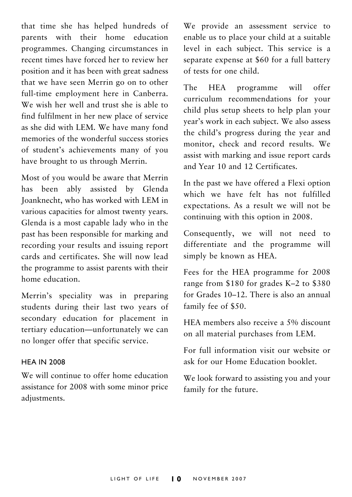that time she has helped hundreds of parents with their home education programmes. Changing circumstances in recent times have forced her to review her position and it has been with great sadness that we have seen Merrin go on to other full-time employment here in Canberra. We wish her well and trust she is able to find fulfilment in her new place of service as she did with LEM. We have many fond memories of the wonderful success stories of student's achievements many of you have brought to us through Merrin.

Most of you would be aware that Merrin has been ably assisted by Glenda Joanknecht, who has worked with LEM in various capacities for almost twenty years. Glenda is a most capable lady who in the past has been responsible for marking and recording your results and issuing report cards and certificates. She will now lead the programme to assist parents with their home education.

Merrin's speciality was in preparing students during their last two years of secondary education for placement in tertiary education—unfortunately we can no longer offer that specific service.

#### **HEA IN 2008**

We will continue to offer home education assistance for 2008 with some minor price adjustments.

We provide an assessment service to enable us to place your child at a suitable level in each subject. This service is a separate expense at \$60 for a full battery of tests for one child.

The HEA programme will offer curriculum recommendations for your child plus setup sheets to help plan your year's work in each subject. We also assess the child's progress during the year and monitor, check and record results. We assist with marking and issue report cards and Year 10 and 12 Certificates.

In the past we have offered a Flexi option which we have felt has not fulfilled expectations. As a result we will not be continuing with this option in 2008.

Consequently, we will not need to differentiate and the programme will simply be known as HEA.

Fees for the HEA programme for 2008 range from \$180 for grades K–2 to \$380 for Grades 10–12. There is also an annual family fee of \$50.

HEA members also receive a 5% discount on all material purchases from LEM.

For full information visit our website or ask for our Home Education booklet.

We look forward to assisting you and your family for the future.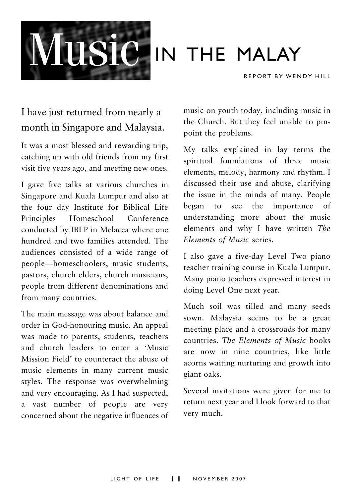

# **IN THE MALAY**

REPORT BY WENDY HILL

### I have just returned from nearly a month in Singapore and Malaysia.

It was a most blessed and rewarding trip, catching up with old friends from my first visit five years ago, and meeting new ones.

I gave five talks at various churches in Singapore and Kuala Lumpur and also at the four day Institute for Biblical Life Principles Homeschool Conference conducted by IBLP in Melacca where one hundred and two families attended. The audiences consisted of a wide range of people—homeschoolers, music students, pastors, church elders, church musicians, people from different denominations and from many countries.

The main message was about balance and order in God-honouring music. An appeal was made to parents, students, teachers and church leaders to enter a 'Music Mission Field' to counteract the abuse of music elements in many current music styles. The response was overwhelming and very encouraging. As I had suspected, a vast number of people are very concerned about the negative influences of

music on youth today, including music in the Church. But they feel unable to pinpoint the problems.

My talks explained in lay terms the spiritual foundations of three music elements, melody, harmony and rhythm. I discussed their use and abuse, clarifying the issue in the minds of many. People began to see the importance of understanding more about the music elements and why I have written *The Elements of Music* series.

I also gave a five-day Level Two piano teacher training course in Kuala Lumpur. Many piano teachers expressed interest in doing Level One next year.

Much soil was tilled and many seeds sown. Malaysia seems to be a great meeting place and a crossroads for many countries. *The Elements of Music* books are now in nine countries, like little acorns waiting nurturing and growth into giant oaks.

Several invitations were given for me to return next year and I look forward to that very much.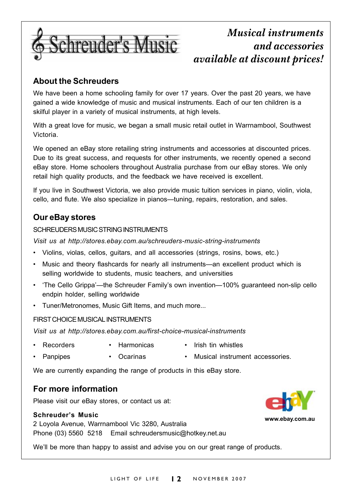

### *Musical instruments and accessories available at discount prices!*

#### **About the Schreuders**

We have been a home schooling family for over 17 years. Over the past 20 years, we have gained a wide knowledge of music and musical instruments. Each of our ten children is a skilful player in a variety of musical instruments, at high levels.

With a great love for music, we began a small music retail outlet in Warrnambool, Southwest Victoria.

We opened an eBay store retailing string instruments and accessories at discounted prices. Due to its great success, and requests for other instruments, we recently opened a second eBay store. Home schoolers throughout Australia purchase from our eBay stores. We only retail high quality products, and the feedback we have received is excellent.

If you live in Southwest Victoria, we also provide music tuition services in piano, violin, viola, cello, and flute. We also specialize in pianos—tuning, repairs, restoration, and sales.

#### **Our eBay stores**

#### SCHREUDERS MUSIC STRING INSTRUMENTS

*Visit us at http://stores.ebay.com.au/schreuders-music-string-instruments*

- Violins, violas, cellos, guitars, and all accessories (strings, rosins, bows, etc.)
- Music and theory flashcards for nearly all instruments—an excellent product which is selling worldwide to students, music teachers, and universities
- 'The Cello Grippa'—the Schreuder Family's own invention—100% guaranteed non-slip cello endpin holder, selling worldwide
- Tuner/Metronomes, Music Gift Items, and much more...

#### FIRST CHOICE MUSICAL INSTRUMENTS

*Visit us at http://stores.ebay.com.au/first-choice-musical-instruments*

- Recorders Harmonicas Irish tin whistles
- Panpipes Ocarinas Musical instrument accessories.
	-

We are currently expanding the range of products in this eBay store.

#### **For more information**

Please visit our eBay stores, or contact us at:

#### **Schreuder's Music**

2 Loyola Avenue, Warrnambool Vic 3280, Australia Phone (03) 5560 5218 Email schreudersmusic@hotkey.net.au

We'll be more than happy to assist and advise you on our great range of products.

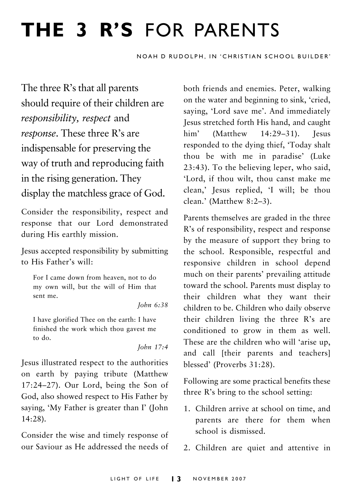# **THE 3 R'S** FOR PARENTS

NOAH D RUDOLPH, IN 'CHRISTIAN SCHOOL BUILDER'

The three R's that all parents should require of their children are *responsibility, respect* and *response*. These three R's are indispensable for preserving the way of truth and reproducing faith in the rising generation. They display the matchless grace of God.

Consider the responsibility, respect and response that our Lord demonstrated during His earthly mission.

Jesus accepted responsibility by submitting to His Father's will:

For I came down from heaven, not to do my own will, but the will of Him that sent me.

*John 6:38*

I have glorified Thee on the earth: I have finished the work which thou gavest me to do.

*John 17:4*

Jesus illustrated respect to the authorities on earth by paying tribute (Matthew 17:24–27). Our Lord, being the Son of God, also showed respect to His Father by saying, 'My Father is greater than I' (John 14:28).

Consider the wise and timely response of our Saviour as He addressed the needs of both friends and enemies. Peter, walking on the water and beginning to sink, 'cried, saying, 'Lord save me'. And immediately Jesus stretched forth His hand, and caught him' (Matthew 14:29–31). Iesus responded to the dying thief, 'Today shalt thou be with me in paradise' (Luke 23:43). To the believing leper, who said, 'Lord, if thou wilt, thou canst make me clean,' Jesus replied, 'I will; be thou clean.' (Matthew 8:2–3).

Parents themselves are graded in the three R's of responsibility, respect and response by the measure of support they bring to the school. Responsible, respectful and responsive children in school depend much on their parents' prevailing attitude toward the school. Parents must display to their children what they want their children to be. Children who daily observe their children living the three R's are conditioned to grow in them as well. These are the children who will 'arise up, and call [their parents and teachers] blessed' (Proverbs 31:28).

Following are some practical benefits these three R's bring to the school setting:

- 1. Children arrive at school on time, and parents are there for them when school is dismissed.
- 2. Children are quiet and attentive in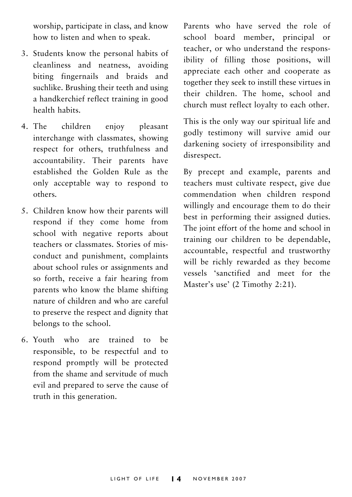worship, participate in class, and know how to listen and when to speak.

- 3. Students know the personal habits of cleanliness and neatness, avoiding biting fingernails and braids and suchlike. Brushing their teeth and using a handkerchief reflect training in good health habits.
- 4. The children enjoy pleasant interchange with classmates, showing respect for others, truthfulness and accountability. Their parents have established the Golden Rule as the only acceptable way to respond to others.
- 5. Children know how their parents will respond if they come home from school with negative reports about teachers or classmates. Stories of misconduct and punishment, complaints about school rules or assignments and so forth, receive a fair hearing from parents who know the blame shifting nature of children and who are careful to preserve the respect and dignity that belongs to the school.
- 6. Youth who are trained to be responsible, to be respectful and to respond promptly will be protected from the shame and servitude of much evil and prepared to serve the cause of truth in this generation.

Parents who have served the role of school board member, principal or teacher, or who understand the responsibility of filling those positions, will appreciate each other and cooperate as together they seek to instill these virtues in their children. The home, school and church must reflect loyalty to each other.

This is the only way our spiritual life and godly testimony will survive amid our darkening society of irresponsibility and disrespect.

By precept and example, parents and teachers must cultivate respect, give due commendation when children respond willingly and encourage them to do their best in performing their assigned duties. The joint effort of the home and school in training our children to be dependable, accountable, respectful and trustworthy will be richly rewarded as they become vessels 'sanctified and meet for the Master's use' (2 Timothy 2:21).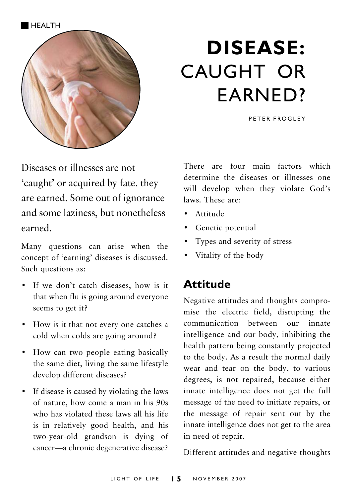

# **DISEASE:** CAUGHT OR EARNED?

PETER FROGLEY

Diseases or illnesses are not 'caught' or acquired by fate. they are earned. Some out of ignorance and some laziness, but nonetheless earned.

Many questions can arise when the concept of 'earning' diseases is discussed. Such questions as:

- If we don't catch diseases, how is it that when flu is going around everyone seems to get it?
- How is it that not every one catches a cold when colds are going around?
- How can two people eating basically the same diet, living the same lifestyle develop different diseases?
- If disease is caused by violating the laws of nature, how come a man in his 90s who has violated these laws all his life is in relatively good health, and his two-year-old grandson is dying of cancer—a chronic degenerative disease?

There are four main factors which determine the diseases or illnesses one will develop when they violate God's laws. These are:

- Attitude
- Genetic potential
- Types and severity of stress
- Vitality of the body

### **Attitude**

Negative attitudes and thoughts compromise the electric field, disrupting the communication between our innate intelligence and our body, inhibiting the health pattern being constantly projected to the body. As a result the normal daily wear and tear on the body, to various degrees, is not repaired, because either innate intelligence does not get the full message of the need to initiate repairs, or the message of repair sent out by the innate intelligence does not get to the area in need of repair.

Different attitudes and negative thoughts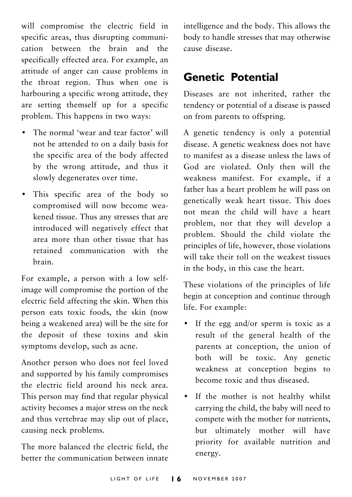will compromise the electric field in specific areas, thus disrupting communication between the brain and the specifically effected area. For example, an attitude of anger can cause problems in the throat region. Thus when one is harbouring a specific wrong attitude, they are setting themself up for a specific problem. This happens in two ways:

- The normal 'wear and tear factor' will not be attended to on a daily basis for the specific area of the body affected by the wrong attitude, and thus it slowly degenerates over time.
- This specific area of the body so compromised will now become weakened tissue. Thus any stresses that are introduced will negatively effect that area more than other tissue that has retained communication with the brain.

For example, a person with a low selfimage will compromise the portion of the electric field affecting the skin. When this person eats toxic foods, the skin (now being a weakened area) will be the site for the deposit of these toxins and skin symptoms develop, such as acne.

Another person who does not feel loved and supported by his family compromises the electric field around his neck area. This person may find that regular physical activity becomes a major stress on the neck and thus vertebrae may slip out of place, causing neck problems.

The more balanced the electric field, the better the communication between innate

intelligence and the body. This allows the body to handle stresses that may otherwise cause disease.

### **Genetic Potential**

Diseases are not inherited, rather the tendency or potential of a disease is passed on from parents to offspring.

A genetic tendency is only a potential disease. A genetic weakness does not have to manifest as a disease unless the laws of God are violated. Only then will the weakness manifest. For example, if a father has a heart problem he will pass on genetically weak heart tissue. This does not mean the child will have a heart problem, nor that they will develop a problem. Should the child violate the principles of life, however, those violations will take their toll on the weakest tissues in the body, in this case the heart.

These violations of the principles of life begin at conception and continue through life. For example:

- If the egg and/or sperm is toxic as a result of the general health of the parents at conception, the union of both will be toxic. Any genetic weakness at conception begins to become toxic and thus diseased.
- If the mother is not healthy whilst carrying the child, the baby will need to compete with the mother for nutrients, but ultimately mother will have priority for available nutrition and energy.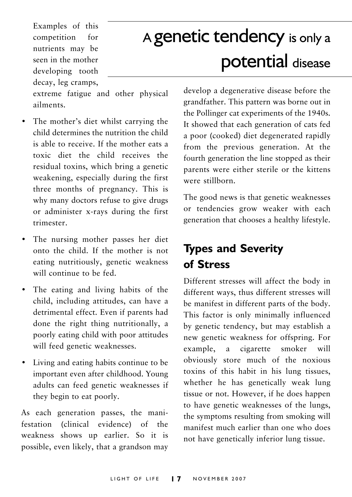Examples of this competition for nutrients may be seen in the mother developing tooth decay, leg cramps,

# A genetic tendency is only a potential disease

extreme fatigue and other physical ailments.

- The mother's diet whilst carrying the child determines the nutrition the child is able to receive. If the mother eats a toxic diet the child receives the residual toxins, which bring a genetic weakening, especially during the first three months of pregnancy. This is why many doctors refuse to give drugs or administer x-rays during the first trimester.
- The nursing mother passes her diet onto the child. If the mother is not eating nutritiously, genetic weakness will continue to be fed.
- The eating and living habits of the child, including attitudes, can have a detrimental effect. Even if parents had done the right thing nutritionally, a poorly eating child with poor attitudes will feed genetic weaknesses.
- Living and eating habits continue to be important even after childhood. Young adults can feed genetic weaknesses if they begin to eat poorly.

As each generation passes, the manifestation (clinical evidence) of the weakness shows up earlier. So it is possible, even likely, that a grandson may develop a degenerative disease before the grandfather. This pattern was borne out in the Pollinger cat experiments of the 1940s. It showed that each generation of cats fed a poor (cooked) diet degenerated rapidly from the previous generation. At the fourth generation the line stopped as their parents were either sterile or the kittens were stillborn.

The good news is that genetic weaknesses or tendencies grow weaker with each generation that chooses a healthy lifestyle.

## **Types and Severity of Stress**

Different stresses will affect the body in different ways, thus different stresses will be manifest in different parts of the body. This factor is only minimally influenced by genetic tendency, but may establish a new genetic weakness for offspring. For example, a cigarette smoker will obviously store much of the noxious toxins of this habit in his lung tissues, whether he has genetically weak lung tissue or not. However, if he does happen to have genetic weaknesses of the lungs, the symptoms resulting from smoking will manifest much earlier than one who does not have genetically inferior lung tissue.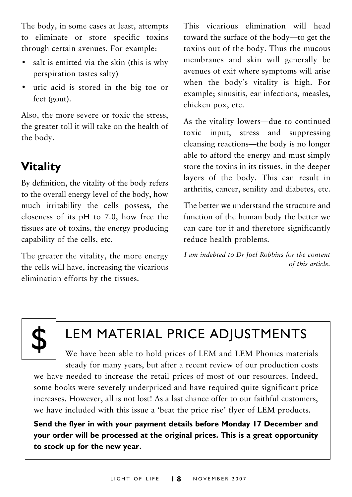The body, in some cases at least, attempts to eliminate or store specific toxins through certain avenues. For example:

- salt is emitted via the skin (this is why perspiration tastes salty)
- uric acid is stored in the big toe or feet (gout).

Also, the more severe or toxic the stress, the greater toll it will take on the health of the body.

## **Vitality**

By definition, the vitality of the body refers to the overall energy level of the body, how much irritability the cells possess, the closeness of its pH to 7.0, how free the tissues are of toxins, the energy producing capability of the cells, etc.

The greater the vitality, the more energy the cells will have, increasing the vicarious elimination efforts by the tissues.

This vicarious elimination will head toward the surface of the body—to get the toxins out of the body. Thus the mucous membranes and skin will generally be avenues of exit where symptoms will arise when the body's vitality is high. For example; sinusitis, ear infections, measles, chicken pox, etc.

As the vitality lowers—due to continued toxic input, stress and suppressing cleansing reactions—the body is no longer able to afford the energy and must simply store the toxins in its tissues, in the deeper layers of the body. This can result in arthritis, cancer, senility and diabetes, etc.

The better we understand the structure and function of the human body the better we can care for it and therefore significantly reduce health problems.

*I am indebted to Dr Joel Robbins for the content of this article.*



## LEM MATERIAL PRICE ADJUSTMENTS

We have been able to hold prices of LEM and LEM Phonics materials steady for many years, but after a recent review of our production costs we have needed to increase the retail prices of most of our resources. Indeed, some books were severely underpriced and have required quite significant price increases. However, all is not lost! As a last chance offer to our faithful customers, we have included with this issue a 'beat the price rise' flyer of LEM products.

**Send the flyer in with your payment details before Monday 17 December and your order will be processed at the original prices. This is a great opportunity to stock up for the new year.**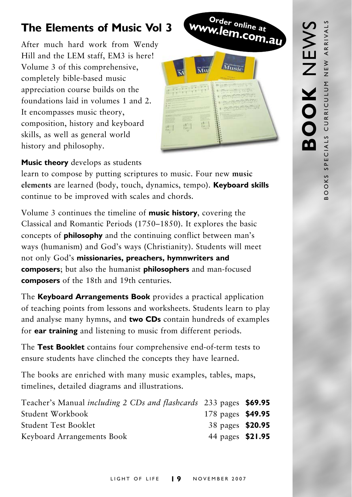## **The Elements of Music Vol 3**

After much hard work from Wendy Hill and the LEM staff, EM3 is here! Volume 3 of this comprehensive, completely bible-based music appreciation course builds on the foundations laid in volumes 1 and 2. It encompasses music theory, composition, history and keyboard skills, as well as general world history and philosophy.



#### **Music theory** develops as students

learn to compose by putting scriptures to music. Four new **music elements** are learned (body, touch, dynamics, tempo). **Keyboard skills** continue to be improved with scales and chords.

Volume 3 continues the timeline of **music history**, covering the Classical and Romantic Periods (1750–1850). It explores the basic concepts of **philosophy** and the continuing conflict between man's ways (humanism) and God's ways (Christianity). Students will meet not only God's **missionaries, preachers, hymnwriters and composers**; but also the humanist **philosophers** and man-focused **composers** of the 18th and 19th centuries.

The **Keyboard Arrangements Book** provides a practical application of teaching points from lessons and worksheets. Students learn to play and analyse many hymns, and **two CDs** contain hundreds of examples for **ear training** and listening to music from different periods.

The **Test Booklet** contains four comprehensive end-of-term tests to ensure students have clinched the concepts they have learned.

The books are enriched with many music examples, tables, maps, timelines, detailed diagrams and illustrations.

| Teacher's Manual <i>including 2 CDs and flashcards</i> 233 pages \$69.95 |                   |  |
|--------------------------------------------------------------------------|-------------------|--|
| Student Workbook                                                         | 178 pages \$49.95 |  |
| <b>Student Test Booklet</b>                                              | 38 pages \$20.95  |  |
| Keyboard Arrangements Book                                               | 44 pages \$21.95  |  |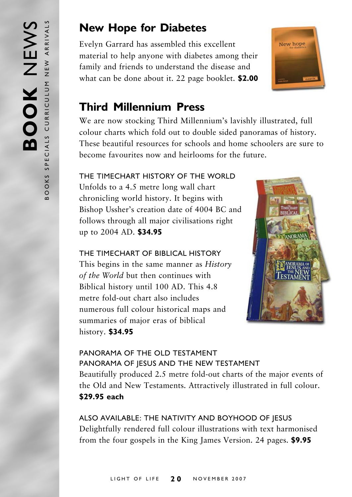## **New Hope for Diabetes**

Evelyn Garrard has assembled this excellent material to help anyone with diabetes among their family and friends to understand the disease and what can be done about it. 22 page booklet. **\$2.00**



### **Third Millennium Press**

We are now stocking Third Millennium's lavishly illustrated, full colour charts which fold out to double sided panoramas of history*.* These beautiful resources for schools and home schoolers are sure to become favourites now and heirlooms for the future.

#### THE TIMECHART HISTORY OF THE WORLD

Unfolds to a 4.5 metre long wall chart chronicling world history. It begins with Bishop Ussher's creation date of 4004 BC and follows through all major civilisations right up to 2004 AD. **\$34.95**

THE TIMECHART OF BIBLICAL HISTORY This begins in the same manner as *History of the World* but then continues with Biblical history until 100 AD. This 4.8 metre fold-out chart also includes numerous full colour historical maps and summaries of major eras of biblical history. **\$34.95**



#### PANORAMA OF THE OLD TESTAMENT PANORAMA OF JESUS AND THE NEW TESTAMENT

Beautifully produced 2.5 metre fold-out charts of the major events of the Old and New Testaments. Attractively illustrated in full colour. **\$29.95 each**

ALSO AVAILABLE: THE NATIVITY AND BOYHOOD OF JESUS Delightfully rendered full colour illustrations with text harmonised from the four gospels in the King James Version. 24 pages. **\$9.95**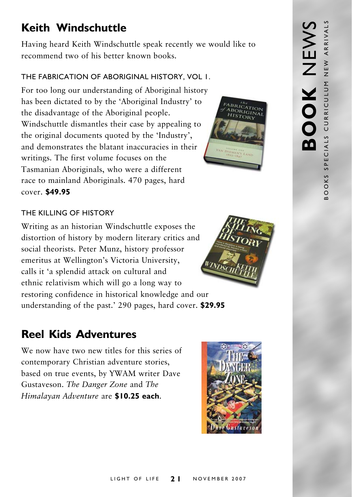## **Keith Windschuttle**

Having heard Keith Windschuttle speak recently we would like to recommend two of his better known books.

#### THE FABRICATION OF ABORIGINAL HISTORY, VOL 1.

For too long our understanding of Aboriginal history has been dictated to by the 'Aboriginal Industry' to the disadvantage of the Aboriginal people. Windschuttle dismantles their case by appealing to the original documents quoted by the 'Industry', and demonstrates the blatant inaccuracies in their writings. The first volume focuses on the Tasmanian Aboriginals, who were a different race to mainland Aboriginals. 470 pages, hard cover. **\$49.95**



#### THE KILLING OF HISTORY

Writing as an historian Windschuttle exposes the distortion of history by modern literary critics and social theorists. Peter Munz, history professor emeritus at Wellington's Victoria University, calls it 'a splendid attack on cultural and ethnic relativism which will go a long way to restoring confidence in historical knowledge and our understanding of the past.' 290 pages, hard cover. **\$29.95**

## **Reel Kids Adventures**

We now have two new titles for this series of contemporary Christian adventure stories, based on true events, by YWAM writer Dave Gustaveson. *The Danger Zone* and *The Himalayan Adventure* are **\$10.25 each**.





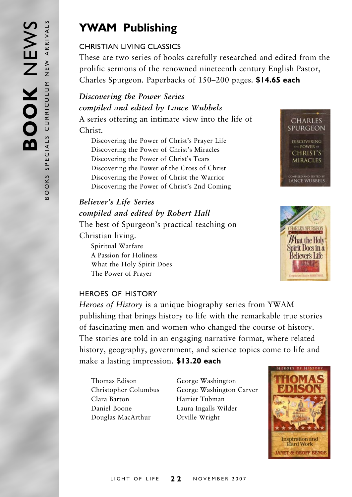## **YWAM Publishing**

#### CHRISTIAN LIVING CLASSICS

These are two series of books carefully researched and edited from the prolific sermons of the renowned nineteenth century English Pastor, Charles Spurgeon. Paperbacks of 150–200 pages. **\$14.65 each**

#### *Discovering the Power Series compiled and edited by Lance Wubbels* A series offering an intimate view into the life of Christ.

Discovering the Power of Christ's Prayer Life Discovering the Power of Christ's Miracles Discovering the Power of Christ's Tears Discovering the Power of the Cross of Christ Discovering the Power of Christ the Warrior Discovering the Power of Christ's 2nd Coming

### *Believer's Life Series compiled and edited by Robert Hall*

The best of Spurgeon's practical teaching on Christian living. Spiritual Warfare A Passion for Holiness What the Holy Spirit Does





#### HEROES OF HISTORY

The Power of Prayer

*Heroes of History* is a unique biography series from YWAM publishing that brings history to life with the remarkable true stories of fascinating men and women who changed the course of history. The stories are told in an engaging narrative format, where related history, geography, government, and science topics come to life and make a lasting impression. **\$13.20 each**

Thomas Edison George Washington Clara Barton Harriet Tubman Daniel Boone Laura Ingalls Wilder Douglas MacArthur Orville Wright

Christopher Columbus George Washington Carver

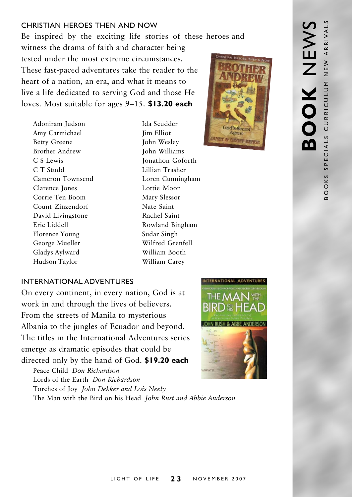#### CHRISTIAN HEROES THEN AND NOW

Be inspired by the exciting life stories of these heroes and witness the drama of faith and character being tested under the most extreme circumstances. These fast-paced adventures take the reader to the heart of a nation, an era, and what it means to live a life dedicated to serving God and those He loves. Most suitable for ages 9–15. **\$13.20 each**

Adoniram Iudson Ida Scudder Amy Carmichael Jim Elliot Betty Greene John Wesley Brother Andrew John Williams C S Lewis Jonathon Goforth C T Studd Lillian Trasher Cameron Townsend Loren Cunningham Clarence Jones Lottie Moon Corrie Ten Boom Mary Slessor Count Zinzendorf Nate Saint David Livingstone Rachel Saint Eric Liddell Rowland Bingham Florence Young Sudar Singh George Mueller Wilfred Grenfell Gladys Aylward William Booth Hudson Taylor William Carey



#### INTERNATIONAL ADVENTURES

On every continent, in every nation, God is at work in and through the lives of believers. From the streets of Manila to mysterious Albania to the jungles of Ecuador and beyond. The titles in the International Adventures series emerge as dramatic episodes that could be directed only by the hand of God. **\$19.20 each**

Peace Child *Don Richardson* Lords of the Earth *Don Richardson* Torches of Joy *John Dekker and Lois Neely* The Man with the Bird on his Head *John Rust and Abbie Anderson*

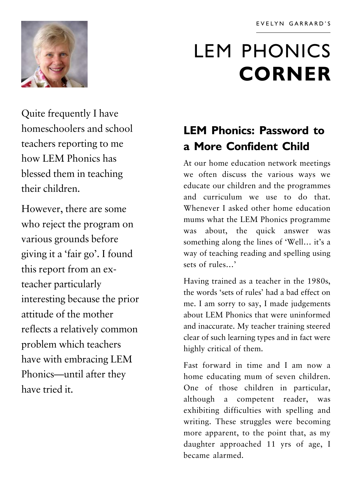

# LEM PHONICS **CORNER**

Quite frequently I have homeschoolers and school teachers reporting to me how LEM Phonics has blessed them in teaching their children.

However, there are some who reject the program on various grounds before giving it a 'fair go'. I found this report from an exteacher particularly interesting because the prior attitude of the mother reflects a relatively common problem which teachers have with embracing LEM Phonics—until after they have tried it.

## **LEM Phonics: Password to a More Confident Child**

At our home education network meetings we often discuss the various ways we educate our children and the programmes and curriculum we use to do that. Whenever I asked other home education mums what the LEM Phonics programme was about, the quick answer was something along the lines of 'Well… it's a way of teaching reading and spelling using sets of rules…'

Having trained as a teacher in the 1980s, the words 'sets of rules' had a bad effect on me. I am sorry to say, I made judgements about LEM Phonics that were uninformed and inaccurate. My teacher training steered clear of such learning types and in fact were highly critical of them.

Fast forward in time and I am now a home educating mum of seven children. One of those children in particular, although a competent reader, was exhibiting difficulties with spelling and writing. These struggles were becoming more apparent, to the point that, as my daughter approached 11 yrs of age, I became alarmed.